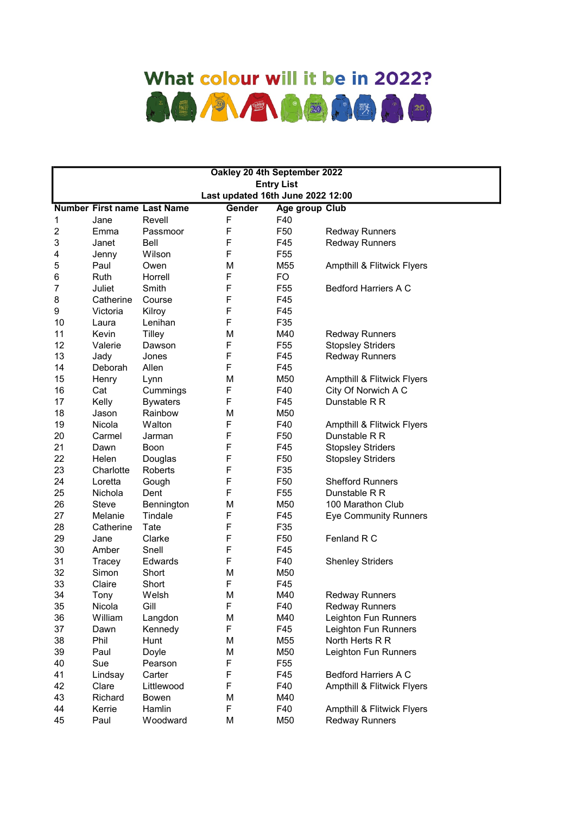#### What colour will it be in 2022? 用画图 图画图 2

| Oakley 20 4th September 2022 |             |                                    |                                   |                 |                              |  |  |  |
|------------------------------|-------------|------------------------------------|-----------------------------------|-----------------|------------------------------|--|--|--|
| <b>Entry List</b>            |             |                                    |                                   |                 |                              |  |  |  |
|                              |             |                                    | Last updated 16th June 2022 12:00 |                 |                              |  |  |  |
|                              |             | <b>Number First name Last Name</b> | Gender                            | Age group Club  |                              |  |  |  |
| 1                            | Jane        | Revell                             | F                                 | F40             |                              |  |  |  |
| 2                            | Emma        | Passmoor                           | F                                 | F50             | <b>Redway Runners</b>        |  |  |  |
| 3                            | Janet       | Bell                               | F                                 | F45             | <b>Redway Runners</b>        |  |  |  |
| 4                            | Jenny       | Wilson                             | F                                 | F <sub>55</sub> |                              |  |  |  |
| 5                            | Paul        | Owen                               | M                                 | M55             | Ampthill & Flitwick Flyers   |  |  |  |
| 6                            | <b>Ruth</b> | Horrell                            | F                                 | FO              |                              |  |  |  |
| 7                            | Juliet      | Smith                              | F                                 | F <sub>55</sub> | <b>Bedford Harriers A C</b>  |  |  |  |
| 8                            | Catherine   | Course                             | F                                 | F45             |                              |  |  |  |
| 9                            | Victoria    | Kilroy                             | F                                 | F45             |                              |  |  |  |
| 10                           | Laura       | Lenihan                            | F                                 | F35             |                              |  |  |  |
| 11                           | Kevin       | Tilley                             | M                                 | M40             | <b>Redway Runners</b>        |  |  |  |
| 12                           | Valerie     | Dawson                             | F                                 | F <sub>55</sub> | <b>Stopsley Striders</b>     |  |  |  |
| 13                           | Jady        | Jones                              | F                                 | F45             | <b>Redway Runners</b>        |  |  |  |
| 14                           | Deborah     | Allen                              | F                                 | F45             |                              |  |  |  |
| 15                           | Henry       | Lynn                               | M                                 | M50             | Ampthill & Flitwick Flyers   |  |  |  |
| 16                           | Cat         | Cummings                           | F                                 | F40             | City Of Norwich A C          |  |  |  |
| 17                           | Kelly       | <b>Bywaters</b>                    | F                                 | F45             | Dunstable R R                |  |  |  |
| 18                           | Jason       | Rainbow                            | M                                 | M50             |                              |  |  |  |
| 19                           | Nicola      | Walton                             | F                                 | F40             | Ampthill & Flitwick Flyers   |  |  |  |
| 20                           | Carmel      | Jarman                             | F                                 | F50             | Dunstable R R                |  |  |  |
| 21                           | Dawn        | Boon                               | F                                 | F45             | <b>Stopsley Striders</b>     |  |  |  |
| 22                           | Helen       | Douglas                            | F                                 | F50             | <b>Stopsley Striders</b>     |  |  |  |
| 23                           | Charlotte   | Roberts                            | F                                 | F35             |                              |  |  |  |
| 24                           | Loretta     | Gough                              | F                                 | F50             | <b>Shefford Runners</b>      |  |  |  |
| 25                           | Nichola     | Dent                               | F                                 | F55             | Dunstable R R                |  |  |  |
| 26                           | Steve       | Bennington                         | M                                 | M50             | 100 Marathon Club            |  |  |  |
| 27                           | Melanie     | Tindale                            | F                                 | F45             | <b>Eye Community Runners</b> |  |  |  |
| 28                           | Catherine   | Tate                               | F                                 | F35             |                              |  |  |  |
| 29                           | Jane        | Clarke                             | F                                 | F50             | Fenland R C                  |  |  |  |
| 30                           | Amber       | Snell                              | F                                 | F45             |                              |  |  |  |
| 31                           | Tracey      | Edwards                            | F                                 | F40             | <b>Shenley Striders</b>      |  |  |  |
| 32                           | Simon       | Short                              | M                                 | M50             |                              |  |  |  |
| 33                           | Claire      | Short                              | F                                 | F45             |                              |  |  |  |
| 34                           | Tony        | Welsh                              | M                                 | M40             | <b>Redway Runners</b>        |  |  |  |
| 35                           | Nicola      | Gill                               | F                                 | F40             | <b>Redway Runners</b>        |  |  |  |
| 36                           | William     | Langdon                            | M                                 | M40             | Leighton Fun Runners         |  |  |  |
| 37                           | Dawn        | Kennedy                            | F                                 | F45             | Leighton Fun Runners         |  |  |  |
| 38                           | Phil        | Hunt                               | M                                 | M55             | North Herts R R              |  |  |  |
| 39                           | Paul        | Doyle                              | M                                 | M50             | Leighton Fun Runners         |  |  |  |
| 40                           | Sue         | Pearson                            | F                                 | F <sub>55</sub> |                              |  |  |  |
| 41                           | Lindsay     | Carter                             | F                                 | F45             | <b>Bedford Harriers A C</b>  |  |  |  |
| 42                           | Clare       | Littlewood                         | F                                 | F40             | Ampthill & Flitwick Flyers   |  |  |  |
| 43                           | Richard     | Bowen                              | М                                 | M40             |                              |  |  |  |
| 44                           | Kerrie      | Hamlin                             | F                                 | F40             | Ampthill & Flitwick Flyers   |  |  |  |
| 45                           | Paul        | Woodward                           | M                                 | M50             | <b>Redway Runners</b>        |  |  |  |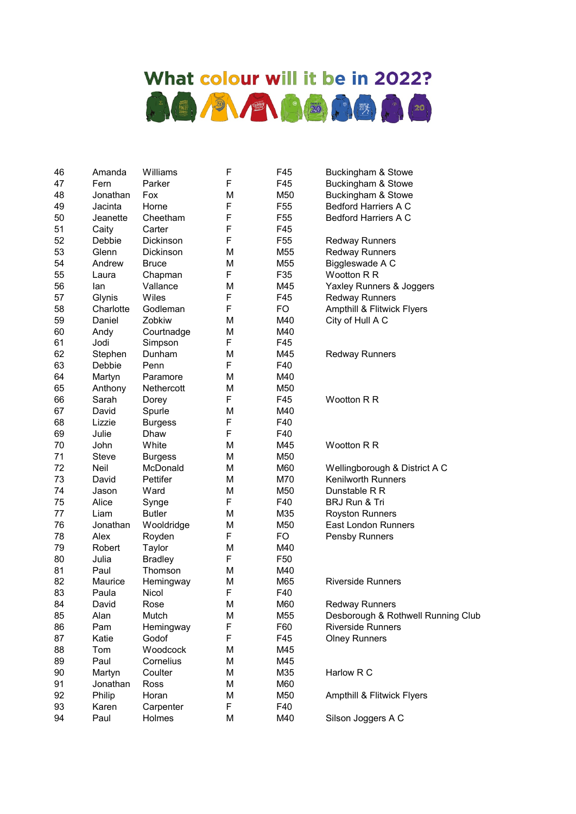# What colour will it be in 2022? 第1章 第一章 题目, 2

| 46 | Amanda        | Williams         | F | F45             | Buckingham & Stowe                 |
|----|---------------|------------------|---|-----------------|------------------------------------|
| 47 | Fern          | Parker           | F | F45             | Buckingham & Stowe                 |
| 48 | Jonathan      | Fox              | М | M50             | Buckingham & Stowe                 |
| 49 | Jacinta       | Horne            | F | F <sub>55</sub> | <b>Bedford Harriers A C</b>        |
| 50 | Jeanette      | Cheetham         | F | F <sub>55</sub> | <b>Bedford Harriers A C</b>        |
| 51 | Caity         | Carter           | F | F45             |                                    |
| 52 | <b>Debbie</b> | Dickinson        | F | F <sub>55</sub> | <b>Redway Runners</b>              |
| 53 | Glenn         | <b>Dickinson</b> | M | M55             | <b>Redway Runners</b>              |
| 54 | Andrew        | <b>Bruce</b>     | M | M55             | Biggleswade A C                    |
| 55 | Laura         | Chapman          | F | F35             | Wootton R R                        |
| 56 | lan           | Vallance         | М | M45             | Yaxley Runners & Joggers           |
| 57 | Glynis        | Wiles            | F | F45             | <b>Redway Runners</b>              |
| 58 | Charlotte     | Godleman         | F | FO              | Ampthill & Flitwick Flyers         |
| 59 | Daniel        | Zobkiw           | М | M40             | City of Hull A C                   |
| 60 | Andy          | Courtnadge       | M | M40             |                                    |
| 61 | Jodi          | Simpson          | F | F45             |                                    |
| 62 | Stephen       | Dunham           | М | M45             | <b>Redway Runners</b>              |
| 63 | Debbie        | Penn             | F | F40             |                                    |
| 64 | Martyn        | Paramore         | M | M40             |                                    |
| 65 | Anthony       | Nethercott       | M | M50             |                                    |
| 66 | Sarah         | Dorey            | F | F45             | Wootton R R                        |
| 67 | David         | Spurle           | M | M40             |                                    |
| 68 | Lizzie        | <b>Burgess</b>   | F | F40             |                                    |
| 69 | Julie         | Dhaw             | F | F40             |                                    |
| 70 | John          | White            | M | M45             | Wootton R R                        |
| 71 | Steve         | <b>Burgess</b>   | M | M50             |                                    |
| 72 | Neil          | McDonald         | M | M60             | Wellingborough & District A C      |
| 73 | David         | Pettifer         | M | M70             | <b>Kenilworth Runners</b>          |
| 74 | Jason         | Ward             | M | M50             | Dunstable R R                      |
| 75 | Alice         | Synge            | F | F40             | BRJ Run & Tri                      |
| 77 | Liam          | <b>Butler</b>    | M | M35             | <b>Royston Runners</b>             |
| 76 | Jonathan      | Wooldridge       | M | M50             | <b>East London Runners</b>         |
| 78 | Alex          | Royden           | F | FO              | Pensby Runners                     |
| 79 | Robert        | Taylor           | Μ | M40             |                                    |
| 80 | Julia         | <b>Bradley</b>   | F | F50             |                                    |
| 81 | Paul          | Thomson          | M | M40             |                                    |
| 82 | Maurice       | Hemingway        | М | M65             | <b>Riverside Runners</b>           |
| 83 | Paula         | Nicol            | F | F40             |                                    |
| 84 | David         | Rose             | M | M60             | <b>Redway Runners</b>              |
| 85 | Alan          | Mutch            | M | M55             | Desborough & Rothwell Running Club |
| 86 | Pam           | Hemingway        | F | F60             | <b>Riverside Runners</b>           |
| 87 | Katie         | Godof            | F | F45             | <b>Olney Runners</b>               |
| 88 | Tom           | Woodcock         | M | M45             |                                    |
| 89 | Paul          | Cornelius        | M | M45             |                                    |
| 90 | Martyn        | Coulter          | M | M35             | Harlow R C                         |
| 91 | Jonathan      | Ross             | M | M60             |                                    |
| 92 | Philip        | Horan            | M | M50             | Ampthill & Flitwick Flyers         |
| 93 | Karen         | Carpenter        | F | F40             |                                    |
| 94 | Paul          | Holmes           | M | M40             | Silson Joggers A C                 |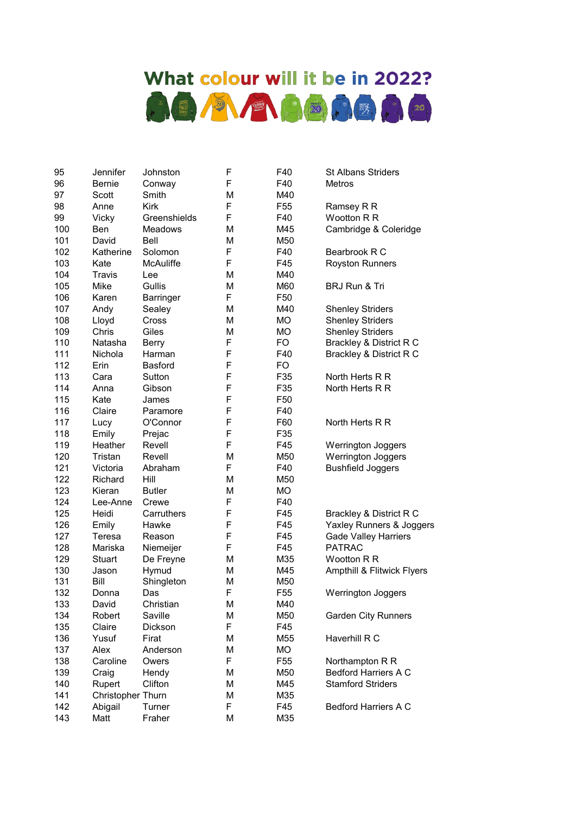### What colour will it be in 2022? 第1章 第一章 题目, 2

| 95  | Jennifer          | Johnston         | F | F40             | <b>St Albans Striders</b>   |
|-----|-------------------|------------------|---|-----------------|-----------------------------|
| 96  | Bernie            | Conway           | F | F40             | <b>Metros</b>               |
| 97  | Scott             | Smith            | M | M40             |                             |
| 98  | Anne              | <b>Kirk</b>      | F | F <sub>55</sub> | Ramsey R R                  |
| 99  | Vicky             | Greenshields     | F | F40             | Wootton R R                 |
| 100 | <b>Ben</b>        | <b>Meadows</b>   | M | M45             | Cambridge & Coleridge       |
| 101 | David             | <b>Bell</b>      | M | M50             |                             |
| 102 | Katherine         | Solomon          | F | F40             | Bearbrook R C               |
| 103 | Kate              | McAuliffe        | F | F45             | <b>Royston Runners</b>      |
| 104 | Travis            | Lee              | M | M40             |                             |
| 105 | Mike              | Gullis           | M | M60             | BRJ Run & Tri               |
| 106 | Karen             | <b>Barringer</b> | F | F50             |                             |
| 107 | Andy              | Sealey           | M | M40             | <b>Shenley Striders</b>     |
| 108 | Lloyd             | Cross            | M | <b>MO</b>       | <b>Shenley Striders</b>     |
| 109 | Chris             | Giles            | M | МO              | <b>Shenley Striders</b>     |
| 110 | Natasha           | Berry            | F | FO.             | Brackley & District R C     |
| 111 | Nichola           | Harman           | F | F40             | Brackley & District R C     |
| 112 | Erin              | Basford          | F | FO              |                             |
| 113 | Cara              | Sutton           | F | F35             | North Herts R R             |
| 114 | Anna              | Gibson           | F | F35             | North Herts R R             |
| 115 | Kate              | James            | F | F <sub>50</sub> |                             |
| 116 | Claire            | Paramore         | F | F40             |                             |
| 117 | Lucy              | O'Connor         | F | F60             | North Herts R R             |
| 118 | Emily             | Prejac           | F | F35             |                             |
| 119 | Heather           | Revell           | F | F45             | Werrington Joggers          |
| 120 | Tristan           | Revell           | M | M50             | Werrington Joggers          |
| 121 | Victoria          | Abraham          | F | F40             | <b>Bushfield Joggers</b>    |
| 122 | Richard           | Hill             | M | M50             |                             |
| 123 | Kieran            | <b>Butler</b>    | M | МO              |                             |
| 124 | Lee-Anne          | Crewe            | F | F40             |                             |
| 125 | Heidi             | Carruthers       | F | F45             | Brackley & District R C     |
| 126 | Emily             | Hawke            | F | F45             | Yaxley Runners & Joggers    |
| 127 | Teresa            | Reason           | F | F45             | <b>Gade Valley Harriers</b> |
| 128 | Mariska           | Niemeijer        | F | F45             | <b>PATRAC</b>               |
| 129 | Stuart            | De Freyne        | M | M35             | Wootton R R                 |
| 130 | Jason             | Hymud            | M | M45             | Ampthill & Flitwick Flyers  |
| 131 | Bill              | Shingleton       | M | M50             |                             |
| 132 | Donna             | Das              | F | F <sub>55</sub> | Werrington Joggers          |
| 133 | David             | Christian        | M | M40             |                             |
| 134 | Robert            | Saville          | M | M50             | <b>Garden City Runners</b>  |
| 135 | Claire            | <b>Dickson</b>   | F | F45             |                             |
| 136 | Yusuf             | Firat            | M | M55             | Haverhill R C               |
| 137 | Alex              | Anderson         | M | MO              |                             |
| 138 | Caroline          | Owers            | F | F <sub>55</sub> | Northampton R R             |
| 139 | Craig             | Hendy            | M | M50             | <b>Bedford Harriers A C</b> |
| 140 | Rupert            | Clifton          | M | M45             | <b>Stamford Striders</b>    |
| 141 | Christopher Thurn |                  | M | M35             |                             |
| 142 | Abigail           | Turner           | F | F45             | <b>Bedford Harriers A C</b> |
| 143 | Matt              | Fraher           | M | M35             |                             |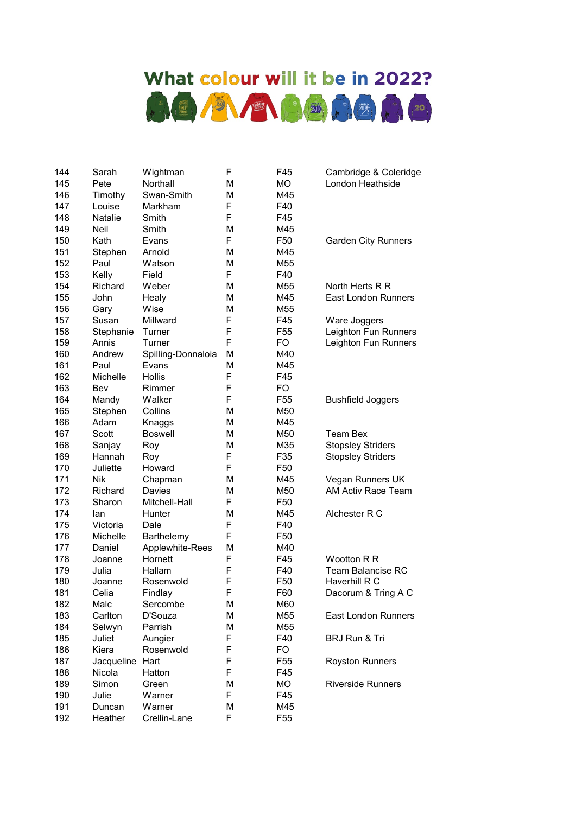### What colour will it be in 2022? ASK 画像画面,

| 144 | Sarah            | Wightman           | F | F45             | Cambridge & Coleridge      |
|-----|------------------|--------------------|---|-----------------|----------------------------|
| 145 | Pete             | Northall           | M | MO              | London Heathside           |
| 146 | Timothy          | Swan-Smith         | M | M45             |                            |
| 147 | Louise           | Markham            | F | F40             |                            |
| 148 | <b>Natalie</b>   | Smith              | F | F45             |                            |
| 149 | <b>Neil</b>      | Smith              | M | M45             |                            |
| 150 | Kath             | Evans              | F | F50             | <b>Garden City Runners</b> |
| 151 | Stephen          | Arnold             | M | M45             |                            |
| 152 | Paul             | Watson             | M | M55             |                            |
| 153 | Kelly            | Field              | F | F40             |                            |
| 154 | Richard          | Weber              | М | M55             | North Herts R R            |
| 155 | John             | Healy              | М | M45             | <b>East London Runners</b> |
| 156 | Gary             | Wise               | М | M55             |                            |
| 157 | Susan            | Millward           | F | F45             | Ware Joggers               |
| 158 | Stephanie        | Turner             | F | F55             | Leighton Fun Runners       |
| 159 | Annis            | Turner             | F | FO              | Leighton Fun Runners       |
| 160 | Andrew           | Spilling-Donnaloia | M | M40             |                            |
| 161 | Paul             | Evans              | M | M45             |                            |
| 162 | Michelle         | <b>Hollis</b>      | F | F45             |                            |
| 163 | Bev              | Rimmer             | F | <b>FO</b>       |                            |
| 164 | Mandy            | Walker             | F | F <sub>55</sub> | <b>Bushfield Joggers</b>   |
| 165 | Stephen          | Collins            | M | M50             |                            |
| 166 | Adam             | Knaggs             | M | M45             |                            |
| 167 | Scott            | <b>Boswell</b>     | M | M50             | Team Bex                   |
| 168 | Sanjay           | Roy                | M | M35             | <b>Stopsley Striders</b>   |
| 169 | Hannah           | Roy                | F | F35             | <b>Stopsley Striders</b>   |
| 170 | Juliette         | Howard             | F | F50             |                            |
| 171 | <b>Nik</b>       | Chapman            | M | M45             | Vegan Runners UK           |
| 172 | Richard          | Davies             | М | M50             | AM Activ Race Team         |
| 173 | Sharon           | Mitchell-Hall      | F | F50             |                            |
| 174 | lan              | Hunter             | М | M45             | Alchester R C              |
| 175 | Victoria         | Dale               | F | F40             |                            |
| 176 | Michelle         | Barthelemy         | F | F <sub>50</sub> |                            |
| 177 | Daniel           | Applewhite-Rees    | М | M40             |                            |
| 178 | Joanne           | Hornett            | F | F45             | Wootton R R                |
| 179 | Julia            | Hallam             | F | F40             | <b>Team Balancise RC</b>   |
| 180 | Joanne           | Rosenwold          | F | F <sub>50</sub> | Haverhill R C              |
| 181 | Celia            | Findlay            | F | F60             | Dacorum & Tring A C        |
| 182 | Malc             | Sercombe           | М | M60             |                            |
| 183 | Carlton          | D'Souza            | М | M55             | East London Runners        |
| 184 |                  | Parrish            | M | M55             |                            |
| 185 | Selwyn<br>Juliet |                    | F | F40             | <b>BRJ Run &amp; Tri</b>   |
| 186 | Kiera            | Aungier            | F | FO.             |                            |
|     |                  | Rosenwold          |   |                 |                            |
| 187 | Jacqueline       | Hart               | F | F55             | <b>Royston Runners</b>     |
| 188 | Nicola           | Hatton             | F | F45             |                            |
| 189 | Simon            | Green              | М | МO              | <b>Riverside Runners</b>   |
| 190 | Julie            | Warner             | F | F45             |                            |
| 191 | Duncan           | Warner             | М | M45             |                            |
| 192 | Heather          | Crellin-Lane       | F | F <sub>55</sub> |                            |

| <b>Garden City Runners</b>                                               |
|--------------------------------------------------------------------------|
| North Herts R R<br><b>East London Runners</b>                            |
| Ware Joggers<br>Leighton Fun Runners<br>Leighton Fun Runners             |
| <b>Bushfield Joggers</b>                                                 |
| <b>Team Bex</b><br><b>Stopsley Striders</b><br><b>Stopsley Striders</b>  |
| Vegan Runners UK<br>AM Activ Race Team                                   |
| Alchester R C                                                            |
| Wootton R R<br>Team Balancise RC<br>Haverhill R C<br>Dacorum & Tring A C |
| <b>East London Runners</b>                                               |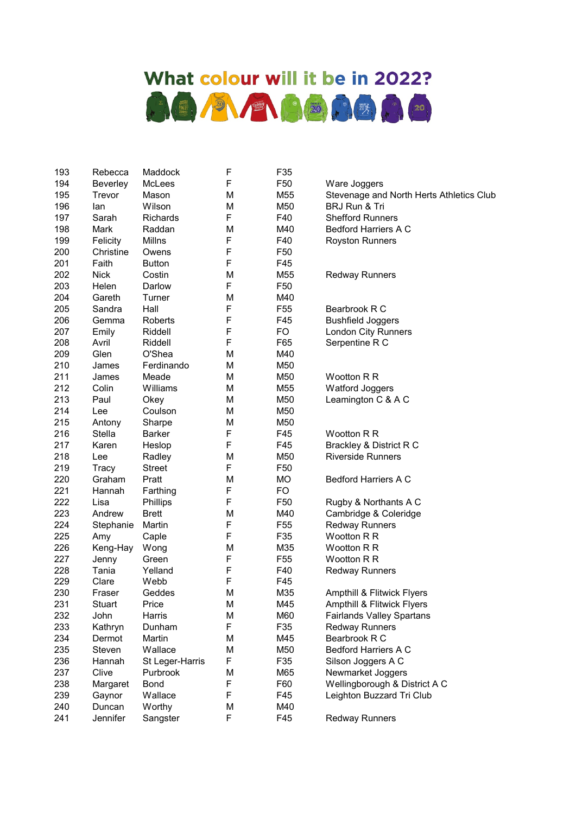# What colour will it be in 2022? ACA 200 000

| 193 | Rebecca     | Maddock         | F      | F35             |                                          |
|-----|-------------|-----------------|--------|-----------------|------------------------------------------|
| 194 | Beverley    | McLees          | F      | F50             | Ware Joggers                             |
| 195 | Trevor      | Mason           | M      | M55             | Stevenage and North Herts Athletics Club |
| 196 | lan         | Wilson          | M      | M50             | BRJ Run & Tri                            |
| 197 | Sarah       | <b>Richards</b> | F      | F40             | <b>Shefford Runners</b>                  |
| 198 | Mark        | Raddan          | M      | M40             | <b>Bedford Harriers A C</b>              |
| 199 | Felicity    | Millns          | F      | F40             | <b>Royston Runners</b>                   |
| 200 | Christine   | Owens           | F      | F50             |                                          |
| 201 | Faith       | <b>Button</b>   | F      | F45             |                                          |
| 202 | <b>Nick</b> | Costin          | M      | M55             | <b>Redway Runners</b>                    |
| 203 | Helen       | Darlow          | F      | F50             |                                          |
| 204 | Gareth      | Turner          | M      | M40             |                                          |
| 205 | Sandra      | Hall            | F      | F <sub>55</sub> | Bearbrook R C                            |
| 206 | Gemma       | Roberts         | F      | F45             | <b>Bushfield Joggers</b>                 |
| 207 | Emily       | Riddell         | F      | FO.             | <b>London City Runners</b>               |
| 208 | Avril       | Riddell         | F      | F65             | Serpentine R C                           |
| 209 | Glen        | O'Shea          | M      | M40             |                                          |
| 210 | James       | Ferdinando      | M      | M50             |                                          |
| 211 | James       | Meade           | M      | M50             | <b>Wootton R R</b>                       |
| 212 | Colin       | Williams        | M      | M55             | <b>Watford Joggers</b>                   |
| 213 | Paul        | Okey            | M      | M50             | Leamington C & A C                       |
| 214 | Lee         | Coulson         | M      | M50             |                                          |
| 215 | Antony      | Sharpe          | M      | M50             |                                          |
| 216 | Stella      | <b>Barker</b>   | F      | F45             | <b>Wootton R R</b>                       |
|     |             |                 | F      |                 |                                          |
| 217 | Karen       | Heslop          |        | F45             | Brackley & District R C                  |
| 218 | Lee         | Radley          | M<br>F | M50             | <b>Riverside Runners</b>                 |
| 219 | Tracy       | <b>Street</b>   |        | F50             |                                          |
| 220 | Graham      | Pratt           | M      | МO              | <b>Bedford Harriers A C</b>              |
| 221 | Hannah      | Farthing        | F      | FO              |                                          |
| 222 | Lisa        | Phillips        | F      | F50             | Rugby & Northants A C                    |
| 223 | Andrew      | <b>Brett</b>    | M      | M40             | Cambridge & Coleridge                    |
| 224 | Stephanie   | Martin          | F      | F <sub>55</sub> | <b>Redway Runners</b>                    |
| 225 | Amy         | Caple           | F      | F35             | <b>Wootton R R</b>                       |
| 226 | Keng-Hay    | Wong            | M      | M35             | Wootton R R                              |
| 227 | Jenny       | Green           | F      | F <sub>55</sub> | Wootton R R                              |
| 228 | Tania       | Yelland         | F      | F40             | <b>Redway Runners</b>                    |
| 229 | Clare       | Webb            | F      | F45             |                                          |
| 230 | Fraser      | Geddes          | M      | M35             | Ampthill & Flitwick Flyers               |
| 231 | Stuart      | Price           | М      | M45             | Ampthill & Flitwick Flyers               |
| 232 | John        | Harris          | M      | M60             | <b>Fairlands Valley Spartans</b>         |
| 233 | Kathryn     | Dunham          | F      | F35             | <b>Redway Runners</b>                    |
| 234 | Dermot      | Martin          | М      | M45             | Bearbrook R C                            |
| 235 | Steven      | Wallace         | М      | M50             | <b>Bedford Harriers A C</b>              |
| 236 | Hannah      | St Leger-Harris | F      | F35             | Silson Joggers A C                       |
| 237 | Clive       | Purbrook        | M      | M65             | Newmarket Joggers                        |
| 238 | Margaret    | Bond            | F      | F60             | Wellingborough & District A C            |
| 239 | Gaynor      | Wallace         | F      | F45             | Leighton Buzzard Tri Club                |
| 240 | Duncan      | Worthy          | M      | M40             |                                          |
| 241 | Jennifer    | Sangster        | F      | F45             | <b>Redway Runners</b>                    |
|     |             |                 |        |                 |                                          |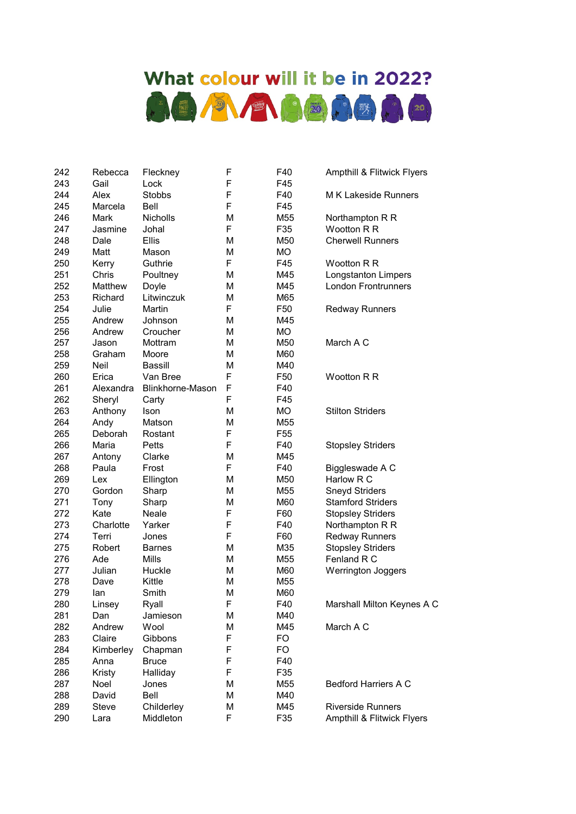# What colour will it be in 2022? 第1章 第一章 题目, 2

| 242 | Rebecca        | Fleckney         | F | F40 | Ampthill & Flitwick Flyers  |
|-----|----------------|------------------|---|-----|-----------------------------|
| 243 | Gail           | Lock             | F | F45 |                             |
| 244 | Alex           | Stobbs           | F | F40 | M K Lakeside Runners        |
| 245 | Marcela        | <b>Bell</b>      | F | F45 |                             |
| 246 | Mark           | Nicholls         | M | M55 | Northampton R R             |
| 247 | Jasmine        | Johal            | F | F35 | Wootton R R                 |
| 248 | Dale           | <b>Ellis</b>     | M | M50 | <b>Cherwell Runners</b>     |
| 249 | Matt           | Mason            | M | МO  |                             |
| 250 | Kerry          | Guthrie          | F | F45 | <b>Wootton R R</b>          |
| 251 | Chris          | Poultney         | M | M45 | <b>Longstanton Limpers</b>  |
| 252 | <b>Matthew</b> | Doyle            | M | M45 | <b>London Frontrunners</b>  |
| 253 | Richard        | Litwinczuk       | M | M65 |                             |
| 254 | Julie          | Martin           | F | F50 | <b>Redway Runners</b>       |
| 255 | Andrew         | Johnson          | M | M45 |                             |
| 256 | Andrew         | Croucher         | M | МO  |                             |
| 257 | Jason          | Mottram          | M | M50 | March A C                   |
| 258 | Graham         | Moore            | M | M60 |                             |
| 259 | Neil           | <b>Bassill</b>   | M | M40 |                             |
| 260 | Erica          | Van Bree         | F | F50 | Wootton R R                 |
| 261 | Alexandra      | Blinkhorne-Mason | F | F40 |                             |
| 262 | Sheryl         | Carty            | F | F45 |                             |
| 263 | Anthony        | Ison             | M | MO  | <b>Stilton Striders</b>     |
| 264 | Andy           | Matson           | M | M55 |                             |
| 265 | Deborah        | Rostant          | F | F55 |                             |
| 266 | Maria          | Petts            | F | F40 | <b>Stopsley Striders</b>    |
| 267 | Antony         | Clarke           | M | M45 |                             |
| 268 | Paula          | Frost            | F | F40 | Biggleswade A C             |
| 269 | Lex            | Ellington        | M | M50 | Harlow R C                  |
| 270 | Gordon         | Sharp            | M | M55 | <b>Sneyd Striders</b>       |
| 271 | Tony           | Sharp            | M | M60 | <b>Stamford Striders</b>    |
| 272 | Kate           | Neale            | F | F60 | <b>Stopsley Striders</b>    |
| 273 | Charlotte      | Yarker           | F | F40 | Northampton R R             |
| 274 | Terri          | Jones            | F | F60 | <b>Redway Runners</b>       |
| 275 | Robert         | Barnes           | M | M35 | <b>Stopsley Striders</b>    |
| 276 | Ade            | Mills            | M | M55 | Fenland R C                 |
| 277 | Julian         | Huckle           | M | M60 | Werrington Joggers          |
| 278 | Dave           | Kittle           | M | M55 |                             |
| 279 | lan            | Smith            | M | M60 |                             |
| 280 | Linsey         | Ryall            | F | F40 | Marshall Milton Keynes A C  |
| 281 | Dan            | Jamieson         | M | M40 |                             |
| 282 | Andrew         | Wool             | M | M45 | March A C                   |
| 283 | Claire         | Gibbons          | F | FO. |                             |
| 284 | Kimberley      | Chapman          | F | FO  |                             |
| 285 | Anna           | <b>Bruce</b>     | F | F40 |                             |
| 286 | Kristy         | Halliday         | F | F35 |                             |
| 287 | Noel           | Jones            | M | M55 | <b>Bedford Harriers A C</b> |
| 288 | David          | Bell             | M | M40 |                             |
| 289 | Steve          | Childerley       | M | M45 | <b>Riverside Runners</b>    |
| 290 | Lara           | Middleton        | F | F35 | Ampthill & Flitwick Flyers  |